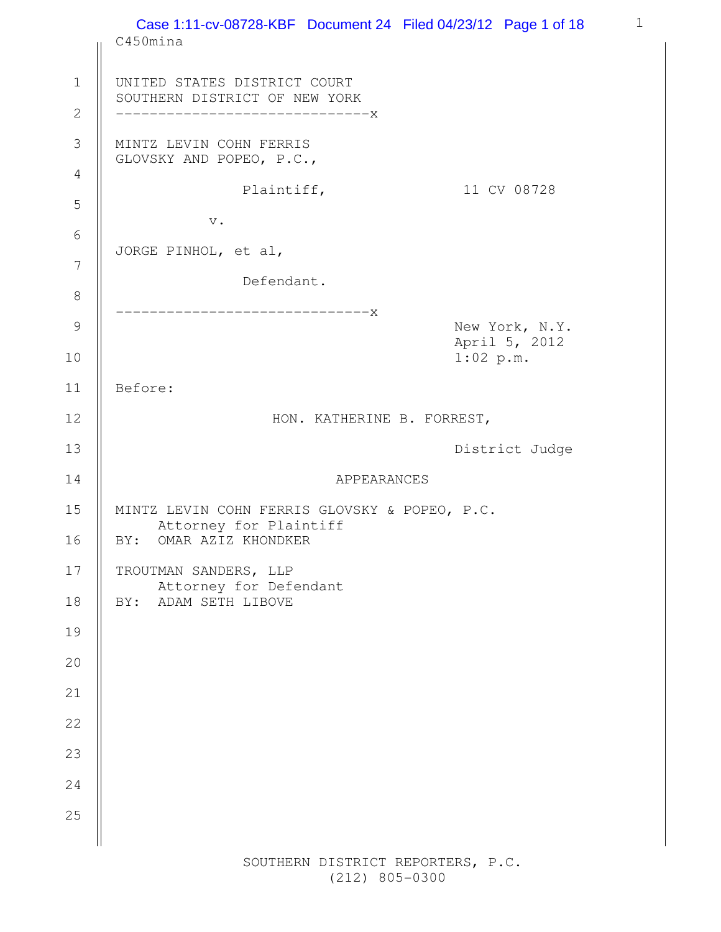C450mina 1 UNITED STATES DISTRICT COURT SOUTHERN DISTRICT OF NEW YORK 2 ------------------------------x 3 | MINTZ LEVIN COHN FERRIS GLOVSKY AND POPEO, P.C., 4 Plaintiff, 11 CV 08728 5 v. 6 JORGE PINHOL, et al, 7 Defendant. 8 ------------------------------x 9 New York, N.Y. April 5, 2012  $1:02 \text{ p.m.}$ 11 Before: 12 HON. KATHERINE B. FORREST, 13 District Judge 14 | APPEARANCES 15 MINTZ LEVIN COHN FERRIS GLOVSKY & POPEO, P.C. Attorney for Plaintiff 16 || BY: OMAR AZIZ KHONDKER 17 | TROUTMAN SANDERS, LLP Attorney for Defendant 18 | BY: ADAM SETH LIBOVE 19 20 21 22 23 24 25 Case 1:11-cv-08728-KBF Document 24 Filed 04/23/12 Page 1 of 18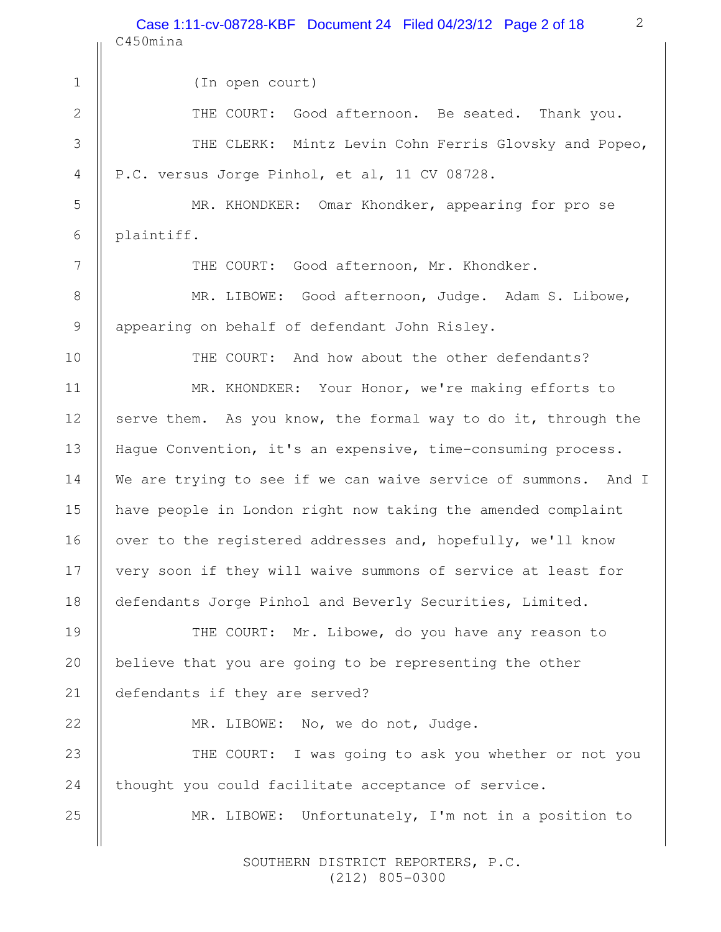C450mina 2 1 (In open court) 2 || THE COURT: Good afternoon. Be seated. Thank you. 3 || THE CLERK: Mintz Levin Cohn Ferris Glovsky and Popeo, 4 | P.C. versus Jorge Pinhol, et al, 11 CV 08728. 5 || MR. KHONDKER: Omar Khondker, appearing for pro se 6 plaintiff. 7 | THE COURT: Good afternoon, Mr. Khondker. 8 || MR. LIBOWE: Good afternoon, Judge. Adam S. Libowe, 9 | appearing on behalf of defendant John Risley. 10 **THE COURT:** And how about the other defendants? 11 MR. KHONDKER: Your Honor, we're making efforts to 12  $\parallel$  serve them. As you know, the formal way to do it, through the 13 Hague Convention, it's an expensive, time-consuming process. 14 We are trying to see if we can waive service of summons. And I 15 have people in London right now taking the amended complaint 16  $\parallel$  over to the registered addresses and, hopefully, we'll know 17 || very soon if they will waive summons of service at least for 18 defendants Jorge Pinhol and Beverly Securities, Limited. 19 || THE COURT: Mr. Libowe, do you have any reason to 20 | believe that you are going to be representing the other 21 | defendants if they are served? 22 || MR. LIBOWE: No, we do not, Judge. 23 || THE COURT: I was going to ask you whether or not you 24 thought you could facilitate acceptance of service. 25 || MR. LIBOWE: Unfortunately, I'm not in a position to Case 1:11-cv-08728-KBF Document 24 Filed 04/23/12 Page 2 of 18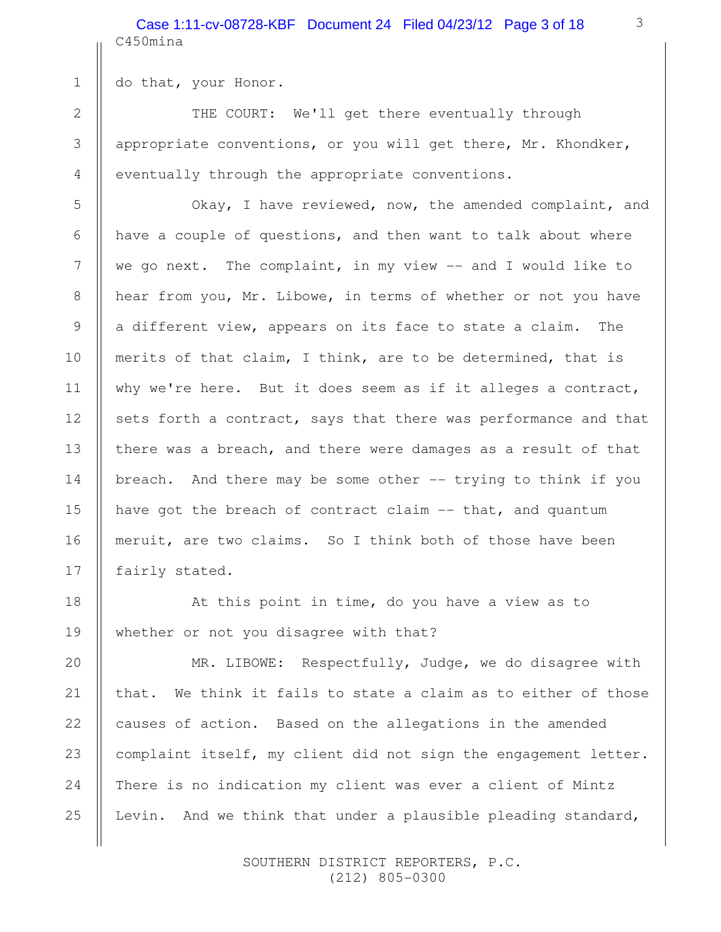C450mina Case 1:11-cv-08728-KBF Document 24 Filed 04/23/12 Page 3 of 18

1 | do that, your Honor.

2 || THE COURT: We'll get there eventually through 3 || appropriate conventions, or you will get there, Mr. Khondker, 4 | eventually through the appropriate conventions.

5 | Okay, I have reviewed, now, the amended complaint, and 6  $\parallel$  have a couple of questions, and then want to talk about where 7 | we go next. The complaint, in my view  $-$  and I would like to 8 | hear from you, Mr. Libowe, in terms of whether or not you have 9 || a different view, appears on its face to state a claim. The 10 || merits of that claim, I think, are to be determined, that is 11 | why we're here. But it does seem as if it alleges a contract, 12 Sets forth a contract, says that there was performance and that 13  $\parallel$  there was a breach, and there were damages as a result of that 14 | breach. And there may be some other  $-$  trying to think if you 15  $\parallel$  have got the breach of contract claim  $-$  that, and quantum 16 || meruit, are two claims. So I think both of those have been 17 | fairly stated.

18 || At this point in time, do you have a view as to 19 whether or not you disagree with that?

20 || MR. LIBOWE: Respectfully, Judge, we do disagree with  $\parallel$  that. We think it fails to state a claim as to either of those  $\parallel$  causes of action. Based on the allegations in the amended  $\parallel$  complaint itself, my client did not sign the engagement letter. 24 There is no indication my client was ever a client of Mintz  $\parallel$  Levin. And we think that under a plausible pleading standard,

> SOUTHERN DISTRICT REPORTERS, P.C. (212) 805-0300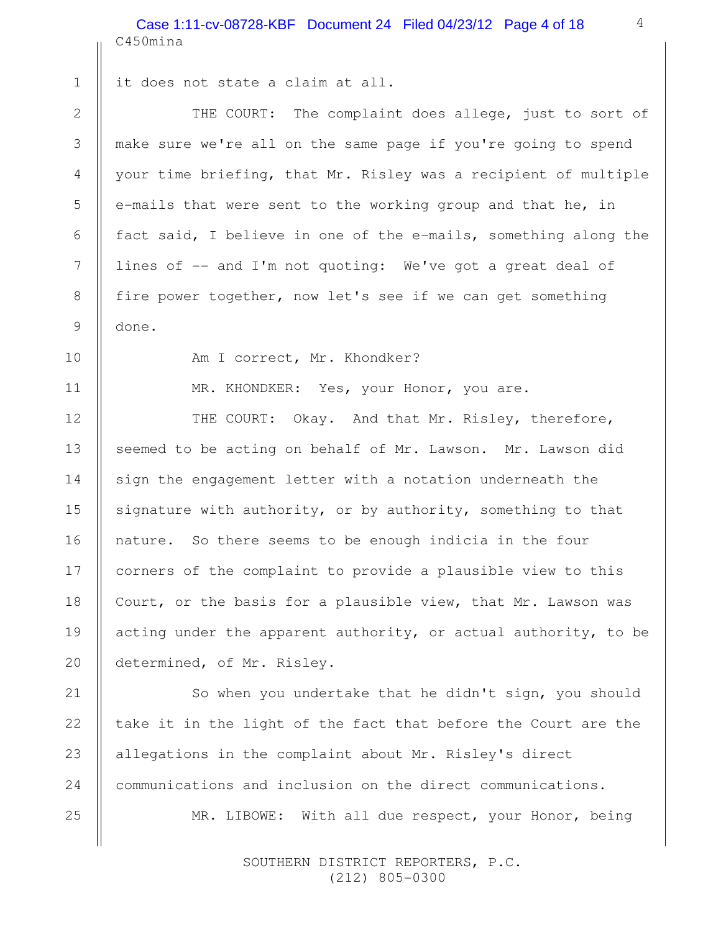C450mina Case 1:11-cv-08728-KBF Document 24 Filed 04/23/12 Page 4 of 18

1 || it does not state a claim at all.

2 || THE COURT: The complaint does allege, just to sort of 3 make sure we're all on the same page if you're going to spend  $4 \parallel$  your time briefing, that Mr. Risley was a recipient of multiple  $5 \parallel$  e-mails that were sent to the working group and that he, in 6  $\parallel$  fact said, I believe in one of the e-mails, something along the  $7 \parallel$  lines of -- and I'm not quoting: We've got a great deal of 8 | fire power together, now let's see if we can get something 9 done.

10 || Am I correct, Mr. Khondker?

11 | MR. KHONDKER: Yes, your Honor, you are.

12 || THE COURT: Okay. And that Mr. Risley, therefore, 13 Seemed to be acting on behalf of Mr. Lawson. Mr. Lawson did  $14$   $\parallel$  sign the engagement letter with a notation underneath the 15  $\parallel$  signature with authority, or by authority, something to that 16 || nature. So there seems to be enough indicia in the four 17 | corners of the complaint to provide a plausible view to this 18  $\parallel$  Court, or the basis for a plausible view, that Mr. Lawson was 19 || acting under the apparent authority, or actual authority, to be 20 | determined, of Mr. Risley.

21 || So when you undertake that he didn't sign, you should 22  $\parallel$  take it in the light of the fact that before the Court are the 23  $\parallel$  allegations in the complaint about Mr. Risley's direct 24 | communications and inclusion on the direct communications. 25 || MR. LIBOWE: With all due respect, your Honor, being

> SOUTHERN DISTRICT REPORTERS, P.C. (212) 805-0300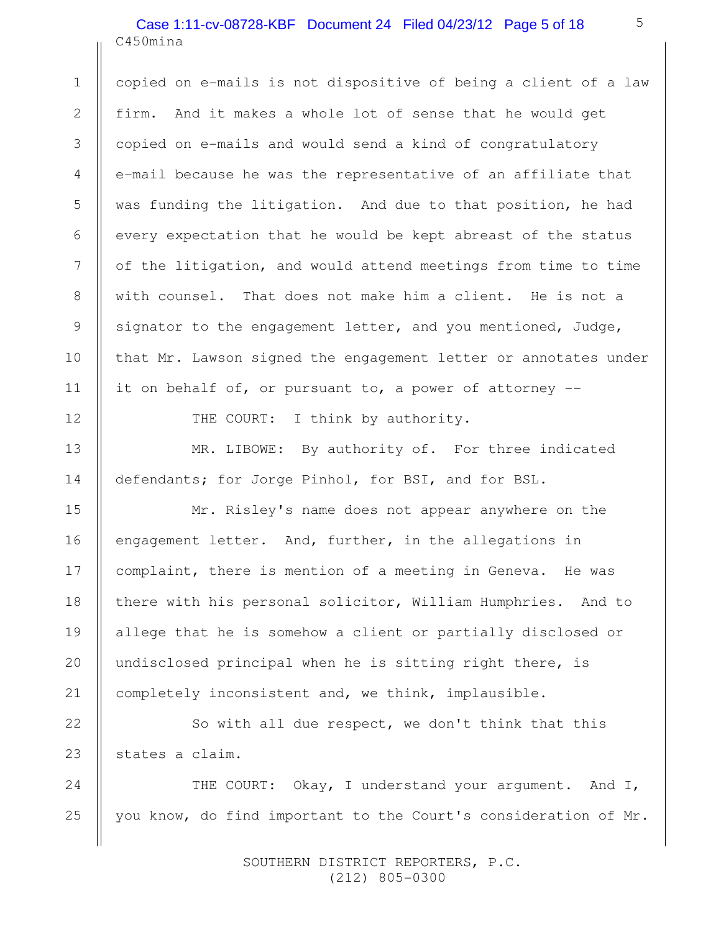# C450mina Case 1:11-cv-08728-KBF Document 24 Filed 04/23/12 Page 5 of 18

1 | copied on e-mails is not dispositive of being a client of a law 2 || firm. And it makes a whole lot of sense that he would get  $3 \parallel$  copied on e-mails and would send a kind of congratulatory  $4 \parallel$  e-mail because he was the representative of an affiliate that  $5$   $\parallel$  was funding the litigation. And due to that position, he had 6  $\parallel$  every expectation that he would be kept abreast of the status 7 | of the litigation, and would attend meetings from time to time 8 | with counsel. That does not make him a client. He is not a 9 | signator to the engagement letter, and you mentioned, Judge, 10 || that Mr. Lawson signed the engagement letter or annotates under 11 | it on behalf of, or pursuant to, a power of attorney  $-$ 

12 || THE COURT: I think by authority.

13 || MR. LIBOWE: By authority of. For three indicated 14 defendants; for Jorge Pinhol, for BSI, and for BSL.

15 Mr. Risley's name does not appear anywhere on the 16 engagement letter. And, further, in the allegations in 17 | complaint, there is mention of a meeting in Geneva. He was 18 | there with his personal solicitor, William Humphries. And to 19 || allege that he is somehow a client or partially disclosed or 20 || undisclosed principal when he is sitting right there, is 21 | completely inconsistent and, we think, implausible.

22 || So with all due respect, we don't think that this 23  $\parallel$  states a claim.

24 **THE COURT:** Okay, I understand your argument. And I, 25  $\parallel$  you know, do find important to the Court's consideration of Mr.

> SOUTHERN DISTRICT REPORTERS, P.C. (212) 805-0300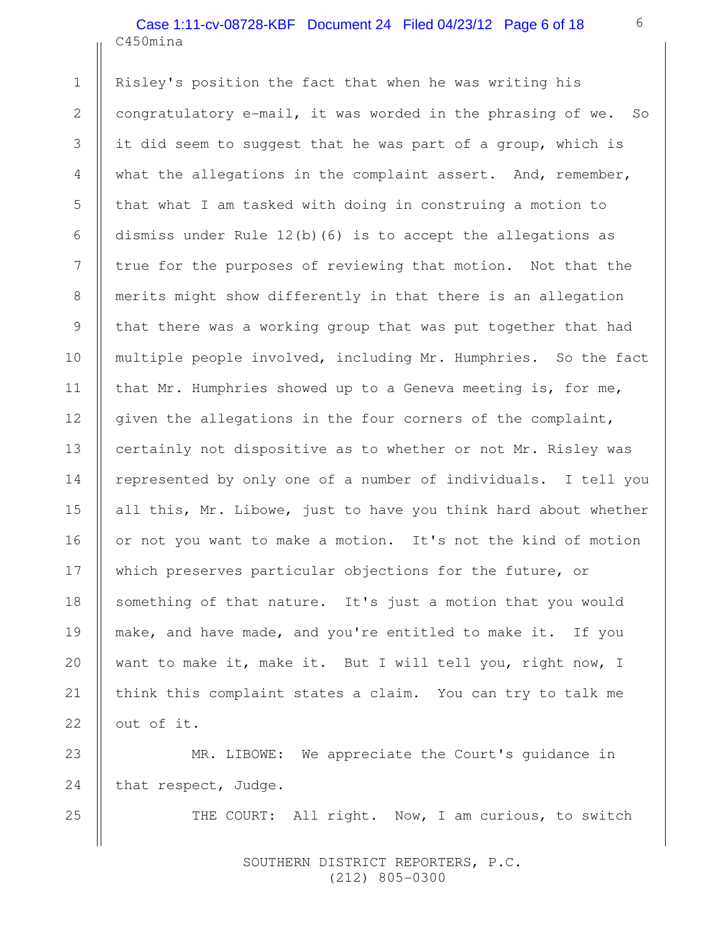# C450mina Case 1:11-cv-08728-KBF Document 24 Filed 04/23/12 Page 6 of 18

1 | Risley's position the fact that when he was writing his 2  $\parallel$  congratulatory e-mail, it was worded in the phrasing of we. So 3 || it did seem to suggest that he was part of a group, which is 4 | what the allegations in the complaint assert. And, remember,  $5$  || that what I am tasked with doing in construing a motion to 6 dismiss under Rule 12(b)(6) is to accept the allegations as  $7$  | true for the purposes of reviewing that motion. Not that the 8 | merits might show differently in that there is an allegation 9 || that there was a working group that was put together that had 10 multiple people involved, including Mr. Humphries. So the fact 11  $\parallel$  that Mr. Humphries showed up to a Geneva meeting is, for me, 12 given the allegations in the four corners of the complaint, 13 certainly not dispositive as to whether or not Mr. Risley was 14 | represented by only one of a number of individuals. I tell you 15  $\parallel$  all this, Mr. Libowe, just to have you think hard about whether 16 || or not you want to make a motion. It's not the kind of motion 17 Which preserves particular objections for the future, or 18 | something of that nature. It's just a motion that you would 19 || make, and have made, and you're entitled to make it. If you 20 want to make it, make it. But I will tell you, right now, I 21  $\parallel$  think this complaint states a claim. You can try to talk me  $22$  | out of it.

23 || MR. LIBOWE: We appreciate the Court's quidance in 24  $\parallel$  that respect, Judge.

25 || THE COURT: All right. Now, I am curious, to switch

 SOUTHERN DISTRICT REPORTERS, P.C. (212) 805-0300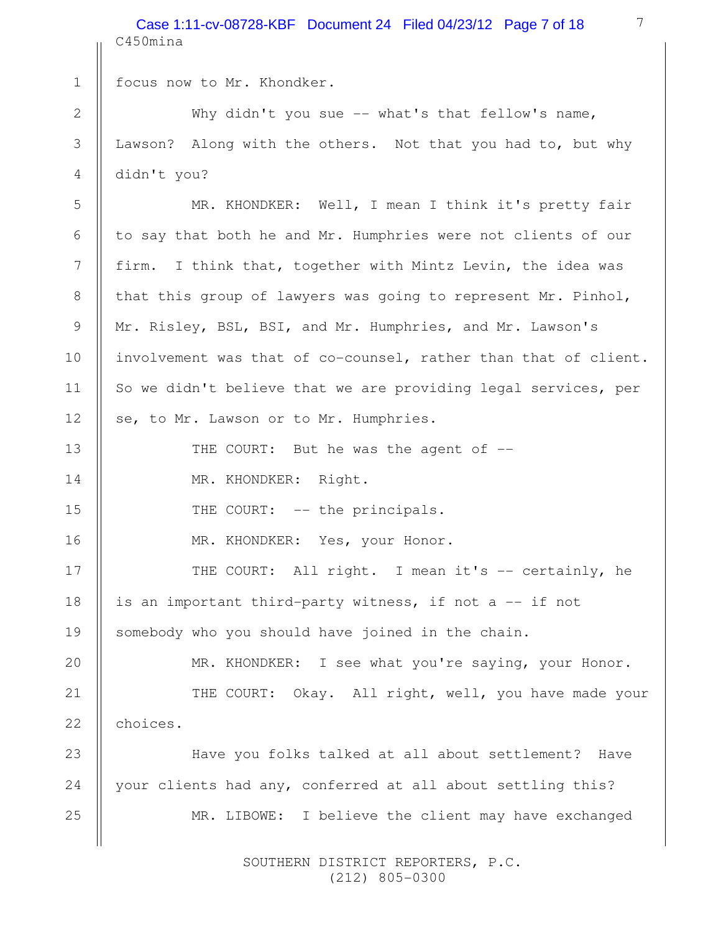C450mina Case 1:11-cv-08728-KBF Document 24 Filed 04/23/12 Page 7 of 18 7

1 | focus now to Mr. Khondker. 2 || Why didn't you sue -- what's that fellow's name, 3 | Lawson? Along with the others. Not that you had to, but why 4 didn't you? 5 MR. KHONDKER: Well, I mean I think it's pretty fair 6  $\parallel$  to say that both he and Mr. Humphries were not clients of our 7  $\parallel$  firm. I think that, together with Mintz Levin, the idea was 8 | that this group of lawyers was going to represent Mr. Pinhol, 9 Mr. Risley, BSL, BSI, and Mr. Humphries, and Mr. Lawson's 10 | involvement was that of co-counsel, rather than that of client. 11  $\parallel$  So we didn't believe that we are providing legal services, per 12 || se, to Mr. Lawson or to Mr. Humphries. 13 || THE COURT: But he was the agent of --14 || MR. KHONDKER: Right. 15 || THE COURT: -- the principals. 16 || MR. KHONDKER: Yes, your Honor. 17 || THE COURT: All right. I mean it's -- certainly, he 18  $\parallel$  is an important third-party witness, if not a -- if not 19 Somebody who you should have joined in the chain. 20 MR. KHONDKER: I see what you're saying, your Honor. 21 || THE COURT: Okay. All right, well, you have made your  $22$  | choices. 23 || Have you folks talked at all about settlement? Have 24  $\parallel$  your clients had any, conferred at all about settling this? 25 || MR. LIBOWE: I believe the client may have exchanged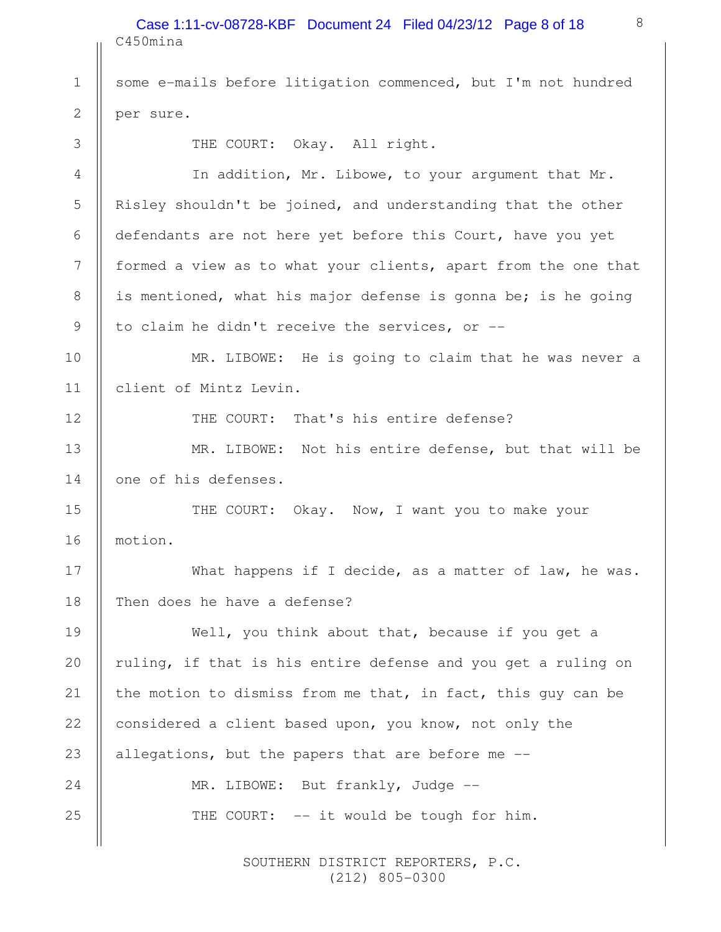# C450mina Case 1:11-cv-08728-KBF Document 24 Filed 04/23/12 Page 8 of 18

1 || some e-mails before litigation commenced, but I'm not hundred 2  $\parallel$  per sure.

3 || THE COURT: Okay. All right.

4 | In addition, Mr. Libowe, to your argument that Mr. 5 | Risley shouldn't be joined, and understanding that the other 6  $\parallel$  defendants are not here yet before this Court, have you yet  $7 \parallel$  formed a view as to what your clients, apart from the one that 8 | is mentioned, what his major defense is gonna be; is he going 9 || to claim he didn't receive the services, or  $-$ 

10 MR. LIBOWE: He is going to claim that he was never a 11 | client of Mintz Levin.

12 || THE COURT: That's his entire defense?

13 MR. LIBOWE: Not his entire defense, but that will be 14 | one of his defenses.

15 || THE COURT: Okay. Now, I want you to make your 16 motion.

17 What happens if I decide, as a matter of law, he was. 18 | Then does he have a defense?

19 || Well, you think about that, because if you get a 20  $\parallel$  ruling, if that is his entire defense and you get a ruling on 21  $\parallel$  the motion to dismiss from me that, in fact, this guy can be 22 considered a client based upon, you know, not only the 23  $\parallel$  allegations, but the papers that are before me  $-$ -24 || MR. LIBOWE: But frankly, Judge --

25 || THE COURT: -- it would be tough for him.

 SOUTHERN DISTRICT REPORTERS, P.C. (212) 805-0300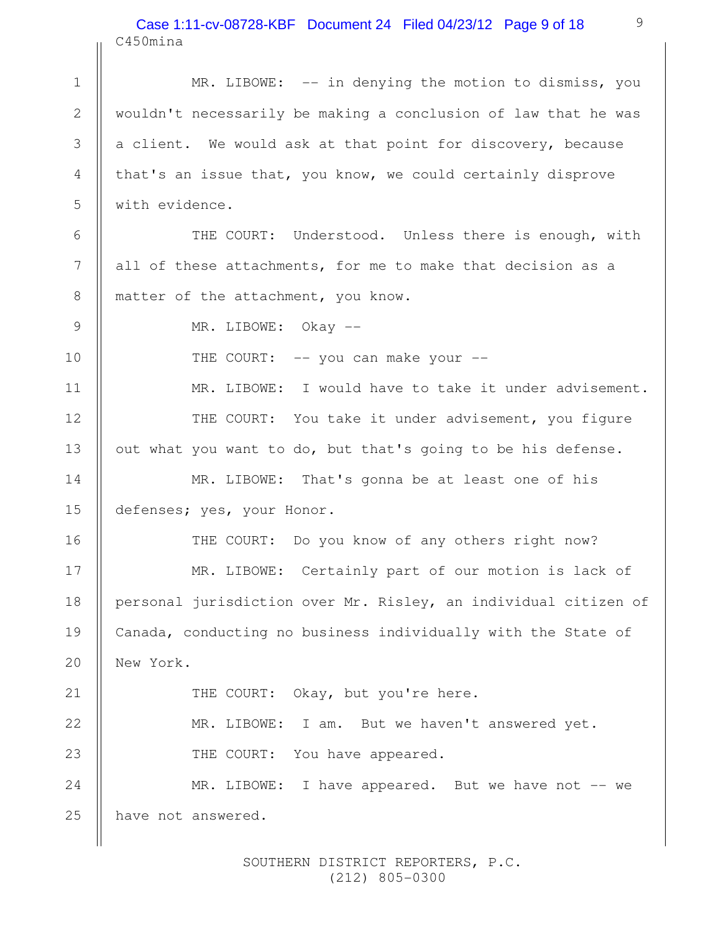### C450mina Case 1:11-cv-08728-KBF Document 24 Filed 04/23/12 Page 9 of 18

 1 MR. LIBOWE: -- in denying the motion to dismiss, you 2 || wouldn't necessarily be making a conclusion of law that he was  $3 \parallel a$  client. We would ask at that point for discovery, because 4  $\parallel$  that's an issue that, you know, we could certainly disprove 5 with evidence. 6 || THE COURT: Understood. Unless there is enough, with 7 || all of these attachments, for me to make that decision as a 8 | matter of the attachment, you know. 9 || MR. LIBOWE: Okay --10 || THE COURT: -- you can make your --11 || MR. LIBOWE: I would have to take it under advisement. 12 || THE COURT: You take it under advisement, you figure 13  $\parallel$  out what you want to do, but that's going to be his defense. 14 || MR. LIBOWE: That's gonna be at least one of his 15 | defenses; yes, your Honor. 16 || THE COURT: Do you know of any others right now? 17 || MR. LIBOWE: Certainly part of our motion is lack of 18 | personal jurisdiction over Mr. Risley, an individual citizen of 19 Canada, conducting no business individually with the State of 20 New York. 21 || THE COURT: Okay, but you're here. 22 || MR. LIBOWE: I am. But we haven't answered yet. 23 || THE COURT: You have appeared. 24 || MR. LIBOWE: I have appeared. But we have not -- we 25 | have not answered.

> SOUTHERN DISTRICT REPORTERS, P.C. (212) 805-0300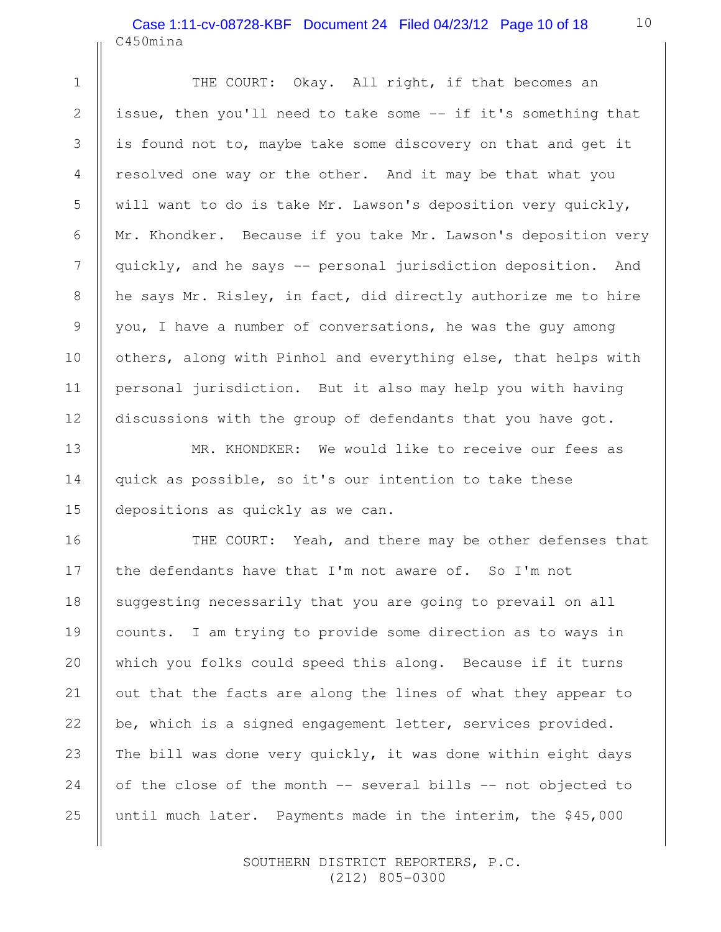### C450mina Case 1:11-cv-08728-KBF Document 24 Filed 04/23/12 Page 10 of 18

1 | THE COURT: Okay. All right, if that becomes an 2 || issue, then you'll need to take some  $-$  if it's something that  $3 \parallel$  is found not to, maybe take some discovery on that and get it 4  $\parallel$  resolved one way or the other. And it may be that what you 5  $\parallel$  will want to do is take Mr. Lawson's deposition very quickly, 6 | Mr. Khondker. Because if you take Mr. Lawson's deposition very 7 quickly, and he says -- personal jurisdiction deposition. And 8 | he says Mr. Risley, in fact, did directly authorize me to hire 9 || you, I have a number of conversations, he was the guy among 10 | others, along with Pinhol and everything else, that helps with 11 personal jurisdiction. But it also may help you with having 12 discussions with the group of defendants that you have got.

13 || MR. KHONDKER: We would like to receive our fees as 14 || quick as possible, so it's our intention to take these 15 | depositions as quickly as we can.

**THE COURT:** Yeah, and there may be other defenses that  $\parallel$  the defendants have that I'm not aware of. So I'm not 18 | suggesting necessarily that you are going to prevail on all 19 counts. I am trying to provide some direction as to ways in 20 which you folks could speed this along. Because if it turns  $\parallel$  out that the facts are along the lines of what they appear to  $\parallel$  be, which is a signed engagement letter, services provided.  $\parallel$  The bill was done very quickly, it was done within eight days  $\parallel$  of the close of the month -- several bills -- not objected to  $\parallel$  until much later. Payments made in the interim, the \$45,000

> SOUTHERN DISTRICT REPORTERS, P.C. (212) 805-0300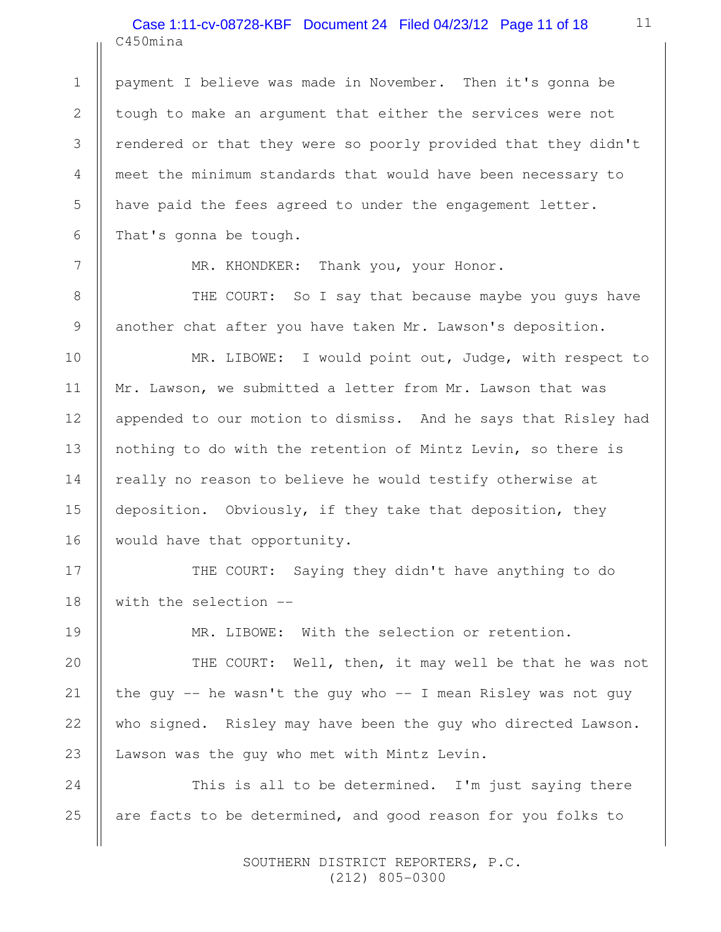# C450mina Case 1:11-cv-08728-KBF Document 24 Filed 04/23/12 Page 11 of 18

 1 payment I believe was made in November. Then it's gonna be 2  $\parallel$  tough to make an argument that either the services were not 3 | rendered or that they were so poorly provided that they didn't 4 || meet the minimum standards that would have been necessary to  $5$  | have paid the fees agreed to under the engagement letter. 6 | That's gonna be tough.

7 | MR. KHONDKER: Thank you, your Honor.

8 || THE COURT: So I say that because maybe you guys have 9 | another chat after you have taken Mr. Lawson's deposition.

10 || MR. LIBOWE: I would point out, Judge, with respect to 11 | Mr. Lawson, we submitted a letter from Mr. Lawson that was 12 | appended to our motion to dismiss. And he says that Risley had 13 || nothing to do with the retention of Mintz Levin, so there is 14  $\parallel$  really no reason to believe he would testify otherwise at 15 | deposition. Obviously, if they take that deposition, they 16 | would have that opportunity.

17 || THE COURT: Saying they didn't have anything to do 18 | with the selection --

19 **MR. LIBOWE:** With the selection or retention.

20 || THE COURT: Well, then, it may well be that he was not 21  $\parallel$  the guy -- he wasn't the guy who -- I mean Risley was not guy 22 who signed. Risley may have been the guy who directed Lawson. 23  $\parallel$  Lawson was the guy who met with Mintz Levin.

24  $\parallel$  This is all to be determined. I'm just saying there 25  $\parallel$  are facts to be determined, and good reason for you folks to

> SOUTHERN DISTRICT REPORTERS, P.C. (212) 805-0300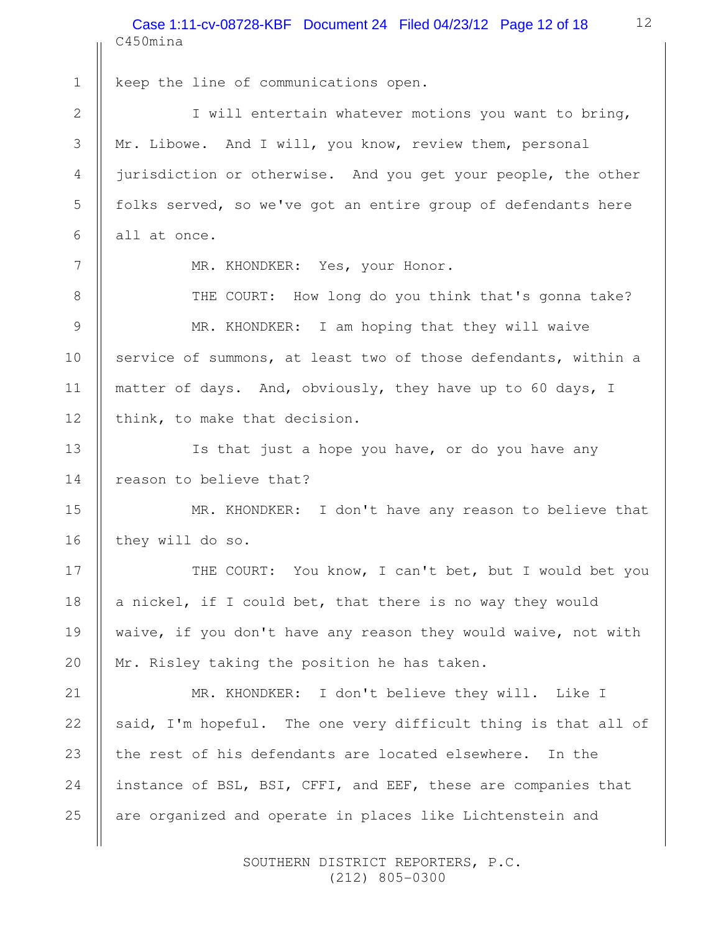C450mina Case 1:11-cv-08728-KBF Document 24 Filed 04/23/12 Page 12 of 18 12

1 | keep the line of communications open.

2 || I will entertain whatever motions you want to bring, 3 Mr. Libowe. And I will, you know, review them, personal 4 | jurisdiction or otherwise. And you get your people, the other 5 || folks served, so we've got an entire group of defendants here 6  $\parallel$  all at once.

7 | MR. KHONDKER: Yes, your Honor.

8 || THE COURT: How long do you think that's gonna take? 9 || MR. KHONDKER: I am hoping that they will waive 10 Service of summons, at least two of those defendants, within a 11 matter of days. And, obviously, they have up to 60 days, I 12 | think, to make that decision.

13 || Is that just a hope you have, or do you have any 14 | reason to believe that?

15 || MR. KHONDKER: I don't have any reason to believe that 16 | they will do so.

17 || THE COURT: You know, I can't bet, but I would bet you 18  $\parallel$  a nickel, if I could bet, that there is no way they would 19 || waive, if you don't have any reason they would waive, not with 20  $\parallel$  Mr. Risley taking the position he has taken.

21 MR. KHONDKER: I don't believe they will. Like I  $\parallel$  said, I'm hopeful. The one very difficult thing is that all of  $\parallel$  the rest of his defendants are located elsewhere. In the  $\parallel$  instance of BSL, BSI, CFFI, and EEF, these are companies that  $\parallel$  are organized and operate in places like Lichtenstein and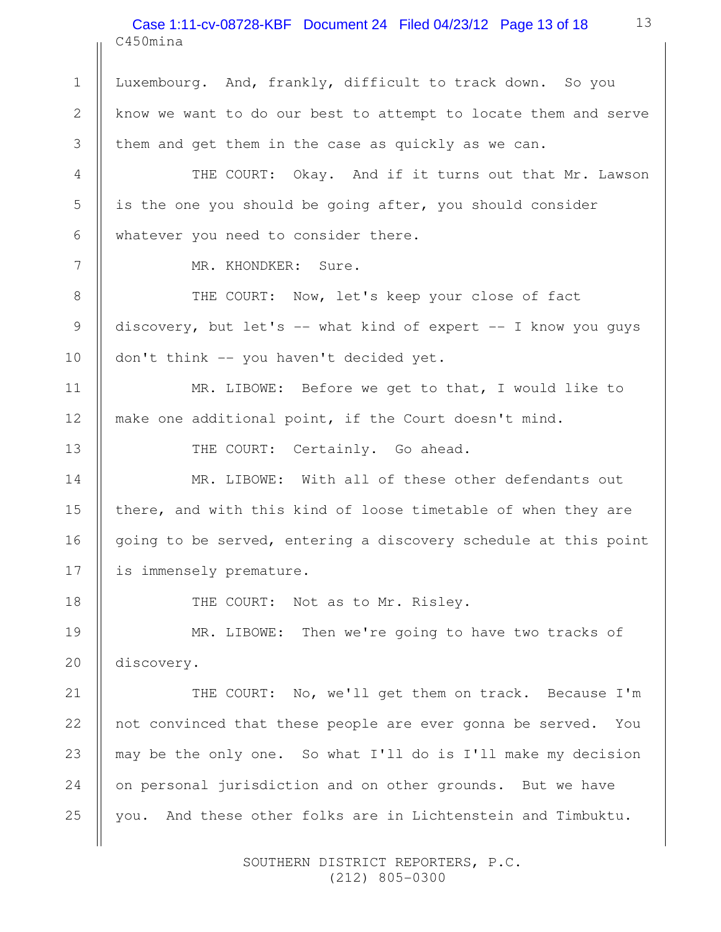#### C450mina Case 1:11-cv-08728-KBF Document 24 Filed 04/23/12 Page 13 of 18

 1 Luxembourg. And, frankly, difficult to track down. So you 2 || know we want to do our best to attempt to locate them and serve  $3 \parallel$  them and get them in the case as quickly as we can.

4 || THE COURT: Okay. And if it turns out that Mr. Lawson  $5 \parallel$  is the one you should be going after, you should consider 6 | whatever you need to consider there.

7 | MR. KHONDKER: Sure.

8 || THE COURT: Now, let's keep your close of fact 9 discovery, but let's -- what kind of expert -- I know you guys 10 | don't think -- you haven't decided yet.

11 || MR. LIBOWE: Before we get to that, I would like to 12 make one additional point, if the Court doesn't mind.

13 || THE COURT: Certainly. Go ahead.

14 || MR. LIBOWE: With all of these other defendants out 15 || there, and with this kind of loose timetable of when they are 16  $\parallel$  going to be served, entering a discovery schedule at this point 17 | is immensely premature.

18 || THE COURT: Not as to Mr. Risley.

19 MR. LIBOWE: Then we're going to have two tracks of 20 | discovery.

21 || THE COURT: No, we'll get them on track. Because I'm 22 || not convinced that these people are ever gonna be served. You 23  $\parallel$  may be the only one. So what I'll do is I'll make my decision 24 on personal jurisdiction and on other grounds. But we have  $25$   $\parallel$  you. And these other folks are in Lichtenstein and Timbuktu.

> SOUTHERN DISTRICT REPORTERS, P.C. (212) 805-0300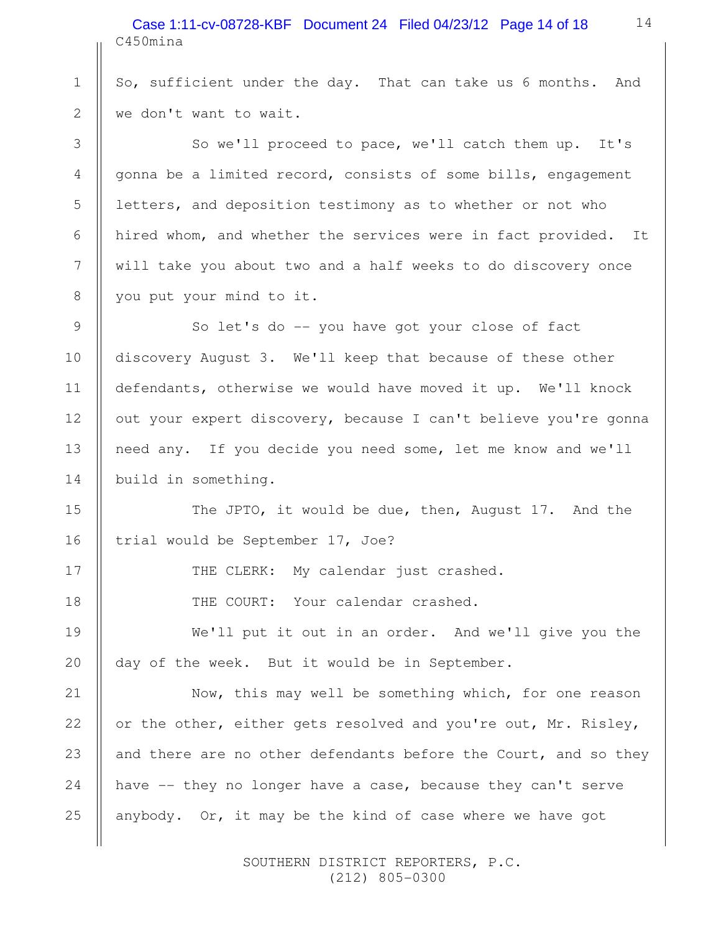C450mina Case 1:11-cv-08728-KBF Document 24 Filed 04/23/12 Page 14 of 18

1 So, sufficient under the day. That can take us 6 months. And 2 || we don't want to wait.

3 || So we'll proceed to pace, we'll catch them up. It's 4  $\parallel$  gonna be a limited record, consists of some bills, engagement 5 | letters, and deposition testimony as to whether or not who 6 | hired whom, and whether the services were in fact provided. It 7 || will take you about two and a half weeks to do discovery once 8 | you put your mind to it.

9 || So let's do -- you have got your close of fact 10 discovery August 3. We'll keep that because of these other 11 defendants, otherwise we would have moved it up. We'll knock 12 | out your expert discovery, because I can't believe you're gonna 13 || need any. If you decide you need some, let me know and we'll 14 | build in something.

15 || The JPTO, it would be due, then, August 17. And the 16 || trial would be September 17, Joe?

17 || THE CLERK: My calendar just crashed.

18 || THE COURT: Your calendar crashed.

19 We'll put it out in an order. And we'll give you the 20  $\parallel$  day of the week. But it would be in September.

21 | Now, this may well be something which, for one reason  $\parallel$  or the other, either gets resolved and you're out, Mr. Risley,  $\parallel$  and there are no other defendants before the Court, and so they  $\parallel$  have  $-$  they no longer have a case, because they can't serve  $\parallel$  anybody. Or, it may be the kind of case where we have got

> SOUTHERN DISTRICT REPORTERS, P.C. (212) 805-0300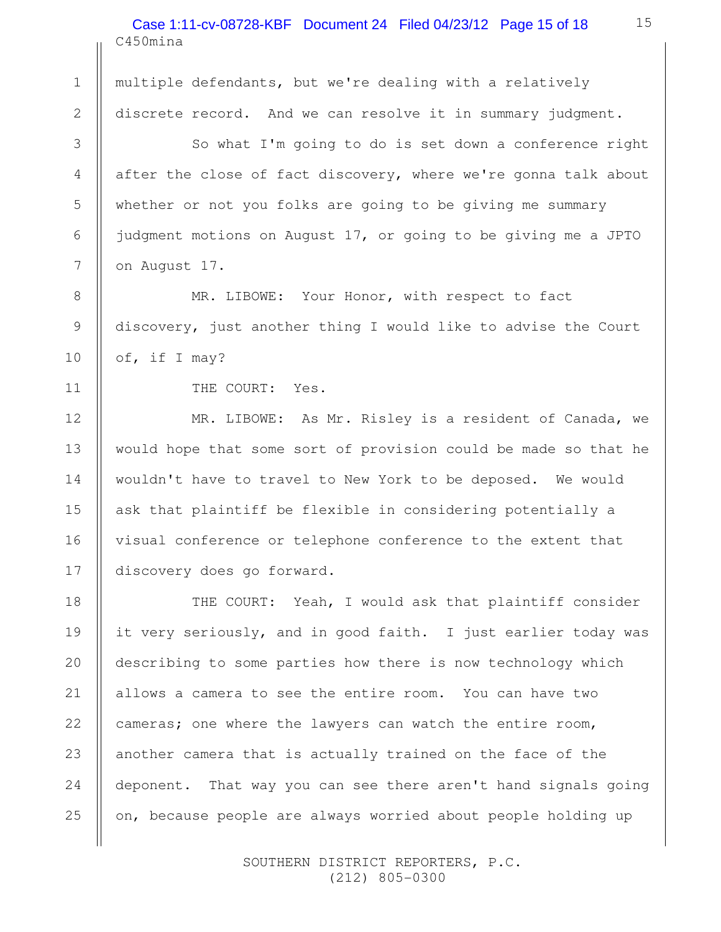#### C450mina Case 1:11-cv-08728-KBF Document 24 Filed 04/23/12 Page 15 of 18

 1 multiple defendants, but we're dealing with a relatively 2 discrete record. And we can resolve it in summary judgment.

3 || So what I'm going to do is set down a conference right 4  $\parallel$  after the close of fact discovery, where we're gonna talk about 5 whether or not you folks are going to be giving me summary 6  $\parallel$  judgment motions on August 17, or going to be giving me a JPTO 7 | on August 17.

8 || MR. LIBOWE: Your Honor, with respect to fact 9 discovery, just another thing I would like to advise the Court 10  $\parallel$  of, if I may?

11 | THE COURT: Yes.

12 || MR. LIBOWE: As Mr. Risley is a resident of Canada, we 13 would hope that some sort of provision could be made so that he 14 | wouldn't have to travel to New York to be deposed. We would 15 || ask that plaintiff be flexible in considering potentially a 16 || visual conference or telephone conference to the extent that 17 | discovery does go forward.

18 || THE COURT: Yeah, I would ask that plaintiff consider 19 it very seriously, and in good faith. I just earlier today was 20 describing to some parties how there is now technology which 21 | allows a camera to see the entire room. You can have two 22  $\parallel$  cameras; one where the lawyers can watch the entire room, 23 || another camera that is actually trained on the face of the 24 deponent. That way you can see there aren't hand signals going 25  $\parallel$  on, because people are always worried about people holding up

> SOUTHERN DISTRICT REPORTERS, P.C. (212) 805-0300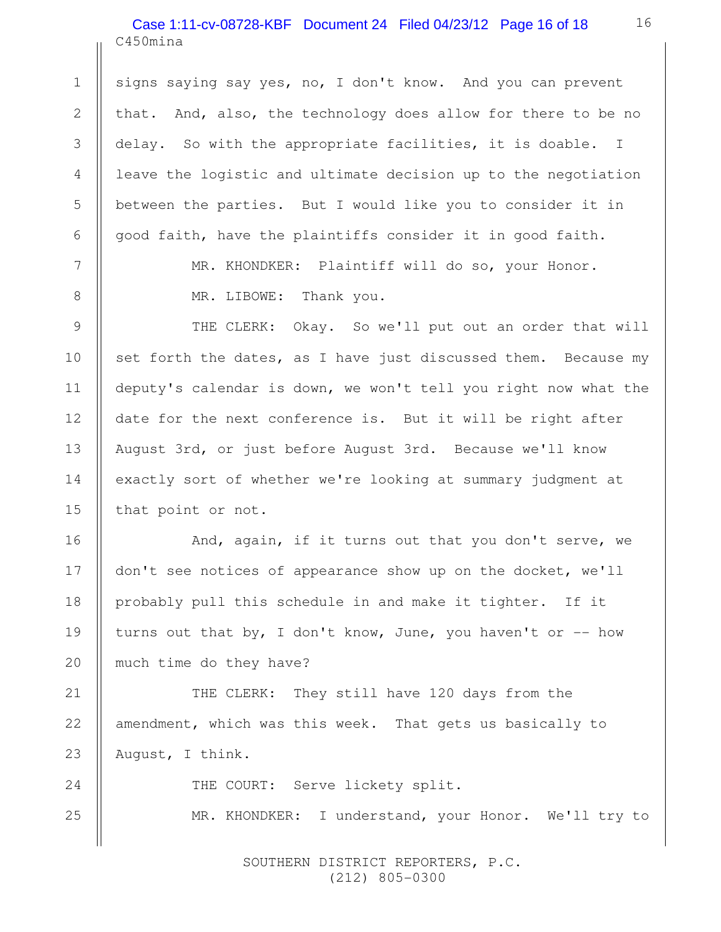### C450mina Case 1:11-cv-08728-KBF Document 24 Filed 04/23/12 Page 16 of 18

1  $\parallel$  signs saying say yes, no, I don't know. And you can prevent 2 | that. And, also, the technology does allow for there to be no 3 delay. So with the appropriate facilities, it is doable. I 4 | leave the logistic and ultimate decision up to the negotiation 5 | between the parties. But I would like you to consider it in 6  $\parallel$  good faith, have the plaintiffs consider it in good faith.

 7 MR. KHONDKER: Plaintiff will do so, your Honor. 8 || MR. LIBOWE: Thank you.

9 || THE CLERK: Okay. So we'll put out an order that will 10  $\parallel$  set forth the dates, as I have just discussed them. Because my 11 deputy's calendar is down, we won't tell you right now what the 12 date for the next conference is. But it will be right after 13 August 3rd, or just before August 3rd. Because we'll know 14 | exactly sort of whether we're looking at summary judgment at 15  $\parallel$  that point or not.

16 || The Rand, again, if it turns out that you don't serve, we 17 don't see notices of appearance show up on the docket, we'll 18 | probably pull this schedule in and make it tighter. If it 19 | turns out that by, I don't know, June, you haven't or  $-$  how 20 || much time do they have?

21 || THE CLERK: They still have 120 days from the 22  $\parallel$  amendment, which was this week. That gets us basically to 23  $\parallel$  August, I think.

24 || THE COURT: Serve lickety split. 25 || MR. KHONDKER: I understand, your Honor. We'll try to

> SOUTHERN DISTRICT REPORTERS, P.C. (212) 805-0300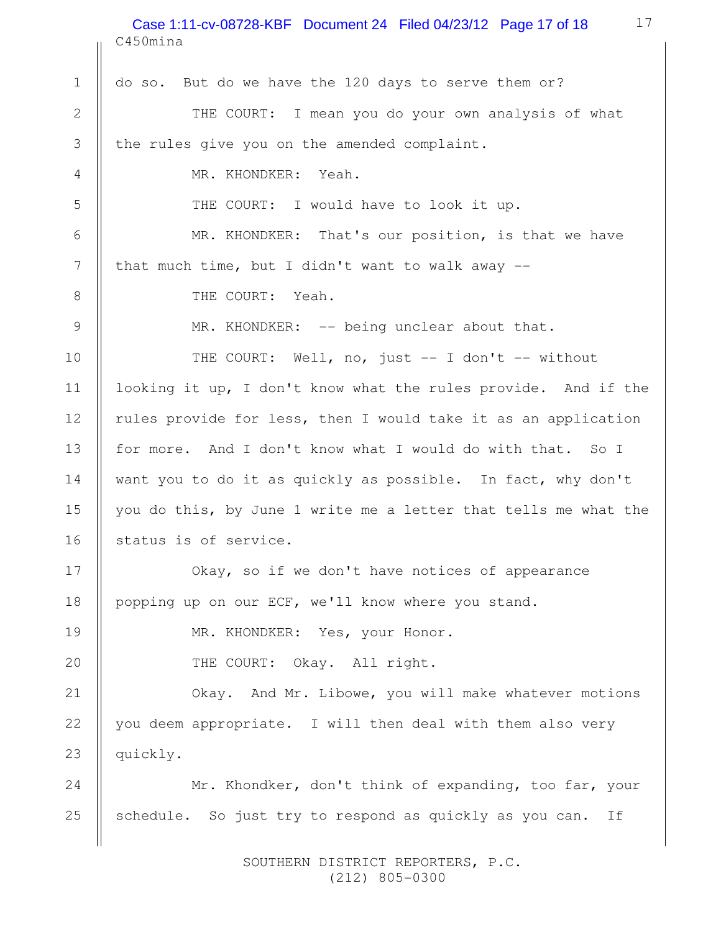C450mina 17 1 | do so. But do we have the 120 days to serve them or? 2 || THE COURT: I mean you do your own analysis of what  $3$  | the rules give you on the amended complaint. 4 || MR. KHONDKER: Yeah. 5 || THE COURT: I would have to look it up. 6 MR. KHONDKER: That's our position, is that we have 7 | that much time, but I didn't want to walk away  $-$ 8 || THE COURT: Yeah. 9 | MR. KHONDKER: -- being unclear about that. 10 || THE COURT: Well, no, just -- I don't -- without 11 looking it up, I don't know what the rules provide. And if the 12 | rules provide for less, then I would take it as an application 13 || for more. And I don't know what I would do with that. So I 14 Want you to do it as quickly as possible. In fact, why don't 15 || you do this, by June 1 write me a letter that tells me what the 16 || status is of service. 17 || Okay, so if we don't have notices of appearance 18 | popping up on our ECF, we'll know where you stand. 19 || MR. KHONDKER: Yes, your Honor. 20 || THE COURT: Okay. All right. 21 | Okay. And Mr. Libowe, you will make whatever motions 22  $\parallel$  you deem appropriate. I will then deal with them also very 23  $\parallel$  quickly. 24 **Mr.** Khondker, don't think of expanding, too far, your 25  $\parallel$  schedule. So just try to respond as quickly as you can. If Case 1:11-cv-08728-KBF Document 24 Filed 04/23/12 Page 17 of 18